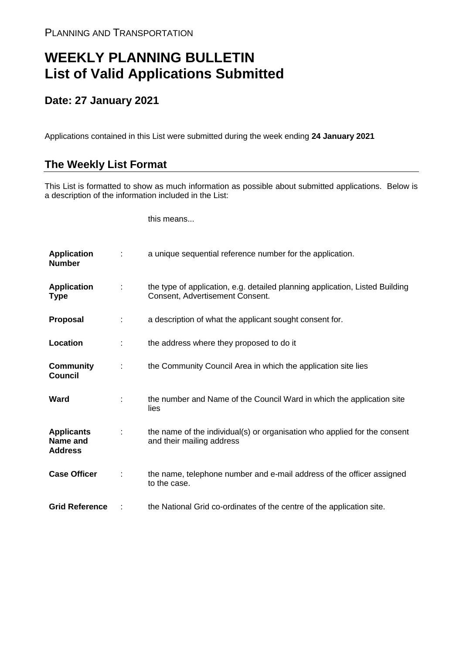## **WEEKLY PLANNING BULLETIN List of Valid Applications Submitted**

## **Date: 27 January 2021**

Applications contained in this List were submitted during the week ending **24 January 2021**

## **The Weekly List Format**

This List is formatted to show as much information as possible about submitted applications. Below is a description of the information included in the List:

this means...

| <b>Application</b><br><b>Number</b>             |               | a unique sequential reference number for the application.                                                       |
|-------------------------------------------------|---------------|-----------------------------------------------------------------------------------------------------------------|
| <b>Application</b><br><b>Type</b>               | $\mathcal{L}$ | the type of application, e.g. detailed planning application, Listed Building<br>Consent, Advertisement Consent. |
| <b>Proposal</b>                                 | ÷             | a description of what the applicant sought consent for.                                                         |
| Location                                        |               | the address where they proposed to do it                                                                        |
| <b>Community</b><br><b>Council</b>              | ÷             | the Community Council Area in which the application site lies                                                   |
| Ward                                            |               | the number and Name of the Council Ward in which the application site<br>lies                                   |
| <b>Applicants</b><br>Name and<br><b>Address</b> |               | the name of the individual(s) or organisation who applied for the consent<br>and their mailing address          |
| <b>Case Officer</b>                             |               | the name, telephone number and e-mail address of the officer assigned<br>to the case.                           |
| <b>Grid Reference</b>                           |               | the National Grid co-ordinates of the centre of the application site.                                           |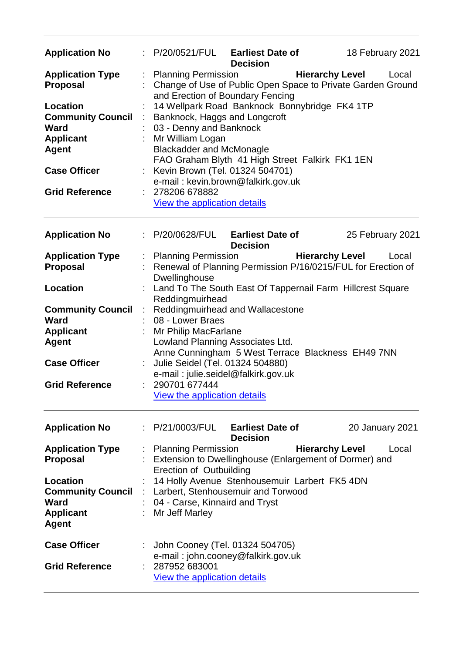| <b>Application No</b>                                                                                                                                                                 | P/20/0521/FUL                                                                                                                                                                                                                                                                                                                                                                                                   | <b>Earliest Date of</b><br><b>Decision</b> |                        | 18 February 2021                                                     |  |  |
|---------------------------------------------------------------------------------------------------------------------------------------------------------------------------------------|-----------------------------------------------------------------------------------------------------------------------------------------------------------------------------------------------------------------------------------------------------------------------------------------------------------------------------------------------------------------------------------------------------------------|--------------------------------------------|------------------------|----------------------------------------------------------------------|--|--|
| <b>Application Type</b><br><b>Proposal</b><br><b>Location</b><br><b>Community Council</b><br>Ward<br><b>Applicant</b><br><b>Agent</b><br><b>Case Officer</b><br><b>Grid Reference</b> | <b>Planning Permission</b><br>and Erection of Boundary Fencing<br>14 Wellpark Road Banknock Bonnybridge FK4 1TP<br>Banknock, Haggs and Longcroft<br>03 - Denny and Banknock<br>Mr William Logan<br><b>Blackadder and McMonagle</b><br>FAO Graham Blyth 41 High Street Falkirk FK1 1EN<br>Kevin Brown (Tel. 01324 504701)<br>e-mail: kevin.brown@falkirk.gov.uk<br>278206 678882<br>View the application details |                                            | <b>Hierarchy Level</b> | Local<br>Change of Use of Public Open Space to Private Garden Ground |  |  |
| <b>Application No</b>                                                                                                                                                                 | P/20/0628/FUL                                                                                                                                                                                                                                                                                                                                                                                                   | <b>Earliest Date of</b><br><b>Decision</b> |                        | 25 February 2021                                                     |  |  |
| <b>Application Type</b><br><b>Proposal</b>                                                                                                                                            | <b>Planning Permission</b><br>Renewal of Planning Permission P/16/0215/FUL for Erection of<br>Dwellinghouse                                                                                                                                                                                                                                                                                                     |                                            | <b>Hierarchy Level</b> | Local                                                                |  |  |
| <b>Location</b>                                                                                                                                                                       |                                                                                                                                                                                                                                                                                                                                                                                                                 |                                            |                        |                                                                      |  |  |
| <b>Community Council</b><br><b>Ward</b><br><b>Applicant</b><br><b>Agent</b><br><b>Case Officer</b><br><b>Grid Reference</b>                                                           | Land To The South East Of Tappernail Farm Hillcrest Square<br>Reddingmuirhead<br>Reddingmuirhead and Wallacestone<br>08 - Lower Braes<br>Mr Philip MacFarlane<br>Lowland Planning Associates Ltd.<br>Anne Cunningham 5 West Terrace Blackness EH49 7NN<br>Julie Seidel (Tel. 01324 504880)<br>e-mail: julie.seidel@falkirk.gov.uk<br>290701 677444<br>View the application details                              |                                            |                        |                                                                      |  |  |
| <b>Application No</b>                                                                                                                                                                 | : P/21/0003/FUL                                                                                                                                                                                                                                                                                                                                                                                                 | <b>Earliest Date of</b><br><b>Decision</b> |                        | 20 January 2021                                                      |  |  |
| <b>Application Type</b><br><b>Proposal</b>                                                                                                                                            | <b>Planning Permission</b><br>Extension to Dwellinghouse (Enlargement of Dormer) and<br><b>Erection of Outbuilding</b>                                                                                                                                                                                                                                                                                          |                                            | <b>Hierarchy Level</b> | Local                                                                |  |  |
| <b>Location</b><br><b>Community Council</b><br>Ward<br><b>Applicant</b><br><b>Agent</b>                                                                                               | 14 Holly Avenue Stenhousemuir Larbert FK5 4DN<br>Larbert, Stenhousemuir and Torwood<br>04 - Carse, Kinnaird and Tryst<br>Mr Jeff Marley                                                                                                                                                                                                                                                                         |                                            |                        |                                                                      |  |  |
| <b>Case Officer</b><br><b>Grid Reference</b>                                                                                                                                          | John Cooney (Tel. 01324 504705)<br>e-mail: john.cooney@falkirk.gov.uk<br>287952 683001<br>View the application details                                                                                                                                                                                                                                                                                          |                                            |                        |                                                                      |  |  |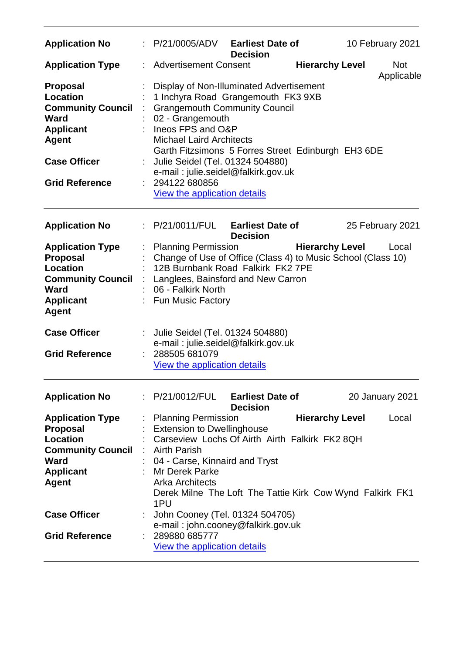| <b>Application No</b>                                                                                                                 | P/21/0005/ADV                                                                                                                                                                                                                                                                              | <b>Earliest Date of</b><br><b>Decision</b> |                        | 10 February 2021         |
|---------------------------------------------------------------------------------------------------------------------------------------|--------------------------------------------------------------------------------------------------------------------------------------------------------------------------------------------------------------------------------------------------------------------------------------------|--------------------------------------------|------------------------|--------------------------|
| <b>Application Type</b>                                                                                                               | <b>Advertisement Consent</b>                                                                                                                                                                                                                                                               |                                            | <b>Hierarchy Level</b> | <b>Not</b><br>Applicable |
| <b>Proposal</b><br><b>Location</b><br><b>Community Council</b><br><b>Ward</b><br><b>Applicant</b><br><b>Agent</b>                     | Display of Non-Illuminated Advertisement<br>1 Inchyra Road Grangemouth FK3 9XB<br><b>Grangemouth Community Council</b><br>02 - Grangemouth<br>Ineos FPS and O&P<br><b>Michael Laird Architects</b><br>Garth Fitzsimons 5 Forres Street Edinburgh EH3 6DE                                   |                                            |                        |                          |
| <b>Case Officer</b>                                                                                                                   | Julie Seidel (Tel. 01324 504880)<br>e-mail: julie.seidel@falkirk.gov.uk                                                                                                                                                                                                                    |                                            |                        |                          |
| <b>Grid Reference</b>                                                                                                                 | 294122 680856<br><b>View the application details</b>                                                                                                                                                                                                                                       |                                            |                        |                          |
| <b>Application No</b>                                                                                                                 | P/21/0011/FUL                                                                                                                                                                                                                                                                              | <b>Earliest Date of</b><br><b>Decision</b> |                        | 25 February 2021         |
| <b>Application Type</b><br><b>Proposal</b><br><b>Location</b><br><b>Community Council</b><br>Ward<br><b>Applicant</b><br><b>Agent</b> | <b>Planning Permission</b><br>Change of Use of Office (Class 4) to Music School (Class 10)<br>12B Burnbank Road Falkirk FK2 7PE<br>Langlees, Bainsford and New Carron<br>06 - Falkirk North<br><b>Fun Music Factory</b>                                                                    |                                            | <b>Hierarchy Level</b> | Local                    |
| <b>Case Officer</b>                                                                                                                   | Julie Seidel (Tel. 01324 504880)<br>e-mail: julie.seidel@falkirk.gov.uk                                                                                                                                                                                                                    |                                            |                        |                          |
| <b>Grid Reference</b>                                                                                                                 | 288505 681079<br>View the application details                                                                                                                                                                                                                                              |                                            |                        |                          |
| <b>Application No</b>                                                                                                                 | : P/21/0012/FUL Earliest Date of                                                                                                                                                                                                                                                           | <b>Decision</b>                            |                        | <b>20 January 2021</b>   |
| <b>Application Type</b><br>Proposal<br><b>Location</b><br><b>Community Council</b><br>Ward<br><b>Applicant</b><br><b>Agent</b>        | <b>Planning Permission</b><br><b>Extension to Dwellinghouse</b><br>Carseview Lochs Of Airth Airth Falkirk FK2 8QH<br><b>Airth Parish</b><br>04 - Carse, Kinnaird and Tryst<br>Mr Derek Parke<br><b>Arka Architects</b><br>Derek Milne The Loft The Tattie Kirk Cow Wynd Falkirk FK1<br>1PU |                                            | <b>Hierarchy Level</b> | Local                    |
| <b>Case Officer</b>                                                                                                                   | John Cooney (Tel. 01324 504705)<br>e-mail: john.cooney@falkirk.gov.uk                                                                                                                                                                                                                      |                                            |                        |                          |
| <b>Grid Reference</b>                                                                                                                 | 289880 685777<br><b>View the application details</b>                                                                                                                                                                                                                                       |                                            |                        |                          |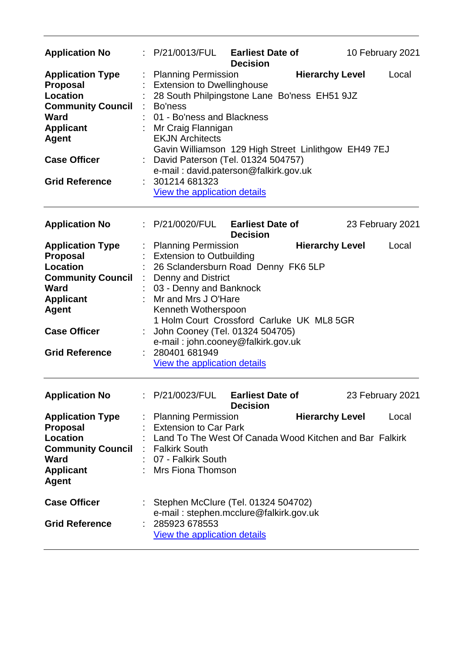| <b>Application No</b>                                                                                                                                                                        |    | $\therefore$ P/21/0013/FUL Earliest Date of                                                                                                                                                                                                                                                                                                                                                      | <b>Decision</b>                            |                        | 10 February 2021 |
|----------------------------------------------------------------------------------------------------------------------------------------------------------------------------------------------|----|--------------------------------------------------------------------------------------------------------------------------------------------------------------------------------------------------------------------------------------------------------------------------------------------------------------------------------------------------------------------------------------------------|--------------------------------------------|------------------------|------------------|
| <b>Application Type</b><br><b>Proposal</b><br><b>Location</b><br><b>Community Council</b><br><b>Ward</b><br><b>Applicant</b><br><b>Agent</b><br><b>Case Officer</b><br><b>Grid Reference</b> | ÷  | <b>Planning Permission</b><br><b>Extension to Dwellinghouse</b><br>28 South Philpingstone Lane Bo'ness EH51 9JZ<br>Bo'ness<br>01 - Bo'ness and Blackness<br>Mr Craig Flannigan<br><b>EKJN Architects</b><br>Gavin Williamson 129 High Street Linlithgow EH49 7EJ<br>David Paterson (Tel. 01324 504757)<br>e-mail: david.paterson@falkirk.gov.uk<br>301214 681323<br>View the application details |                                            | <b>Hierarchy Level</b> | Local            |
| <b>Application No</b>                                                                                                                                                                        |    | P/21/0020/FUL Earliest Date of                                                                                                                                                                                                                                                                                                                                                                   | <b>Decision</b>                            |                        | 23 February 2021 |
| <b>Application Type</b><br><b>Proposal</b><br><b>Location</b><br><b>Community Council</b><br>Ward<br><b>Applicant</b><br><b>Agent</b><br><b>Case Officer</b><br><b>Grid Reference</b>        | ÷  | <b>Planning Permission</b><br><b>Extension to Outbuilding</b><br>26 Sclandersburn Road Denny FK6 5LP<br><b>Denny and District</b><br>03 - Denny and Banknock<br>Mr and Mrs J O'Hare<br>Kenneth Wotherspoon<br>1 Holm Court Crossford Carluke UK ML8 5GR<br>John Cooney (Tel. 01324 504705)<br>e-mail: john.cooney@falkirk.gov.uk<br>280401 681949<br>View the application details                |                                            | <b>Hierarchy Level</b> | Local            |
| <b>Application No</b>                                                                                                                                                                        |    | : P/21/0023/FUL                                                                                                                                                                                                                                                                                                                                                                                  | <b>Earliest Date of</b><br><b>Decision</b> |                        | 23 February 2021 |
| <b>Application Type</b><br>Proposal<br>Location<br><b>Community Council</b><br><b>Ward</b><br><b>Applicant</b><br><b>Agent</b>                                                               | ÷. | <b>Planning Permission</b><br><b>Extension to Car Park</b><br>Land To The West Of Canada Wood Kitchen and Bar Falkirk<br><b>Falkirk South</b><br>07 - Falkirk South<br>Mrs Fiona Thomson                                                                                                                                                                                                         |                                            | <b>Hierarchy Level</b> | Local            |
| <b>Case Officer</b><br><b>Grid Reference</b>                                                                                                                                                 |    | : Stephen McClure (Tel. 01324 504702)<br>e-mail: stephen.mcclure@falkirk.gov.uk<br>285923 678553<br>View the application details                                                                                                                                                                                                                                                                 |                                            |                        |                  |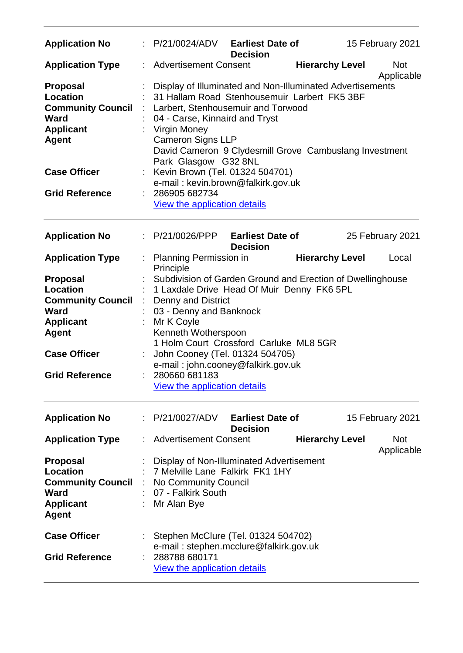| <b>Application No</b>                                                                                                                                      | P/21/0024/ADV                                                                                                                                                                                                                                                                                                                                                                    | <b>Earliest Date of</b><br><b>Decision</b> |                        | 15 February 2021         |
|------------------------------------------------------------------------------------------------------------------------------------------------------------|----------------------------------------------------------------------------------------------------------------------------------------------------------------------------------------------------------------------------------------------------------------------------------------------------------------------------------------------------------------------------------|--------------------------------------------|------------------------|--------------------------|
| <b>Application Type</b>                                                                                                                                    | <b>Advertisement Consent</b>                                                                                                                                                                                                                                                                                                                                                     |                                            | <b>Hierarchy Level</b> | <b>Not</b><br>Applicable |
| <b>Proposal</b><br><b>Location</b><br><b>Community Council</b><br>Ward<br><b>Applicant</b><br><b>Agent</b>                                                 | Display of Illuminated and Non-Illuminated Advertisements<br>31 Hallam Road Stenhousemuir Larbert FK5 3BF<br>Larbert, Stenhousemuir and Torwood<br>04 - Carse, Kinnaird and Tryst<br><b>Virgin Money</b><br><b>Cameron Signs LLP</b><br>David Cameron 9 Clydesmill Grove Cambuslang Investment<br>Park Glasgow G32 8NL                                                           |                                            |                        |                          |
| <b>Case Officer</b>                                                                                                                                        | Kevin Brown (Tel. 01324 504701)                                                                                                                                                                                                                                                                                                                                                  |                                            |                        |                          |
| <b>Grid Reference</b>                                                                                                                                      | e-mail: kevin.brown@falkirk.gov.uk<br>286905 682734<br>View the application details                                                                                                                                                                                                                                                                                              |                                            |                        |                          |
| <b>Application No</b>                                                                                                                                      | : P/21/0026/PPP                                                                                                                                                                                                                                                                                                                                                                  | <b>Earliest Date of</b><br><b>Decision</b> |                        | 25 February 2021         |
| <b>Application Type</b>                                                                                                                                    | Planning Permission in<br>Principle                                                                                                                                                                                                                                                                                                                                              |                                            | <b>Hierarchy Level</b> | Local                    |
| <b>Proposal</b><br>Location<br><b>Community Council</b><br><b>Ward</b><br><b>Applicant</b><br><b>Agent</b><br><b>Case Officer</b><br><b>Grid Reference</b> | Subdivision of Garden Ground and Erection of Dwellinghouse<br>1 Laxdale Drive Head Of Muir Denny FK6 5PL<br><b>Denny and District</b><br>03 - Denny and Banknock<br>Mr K Coyle<br>Kenneth Wotherspoon<br>1 Holm Court Crossford Carluke ML8 5GR<br>John Cooney (Tel. 01324 504705)<br>e-mail: john.cooney@falkirk.gov.uk<br>280660 681183<br><b>View the application details</b> |                                            |                        |                          |
| <b>Application No</b>                                                                                                                                      | P/21/0027/ADV                                                                                                                                                                                                                                                                                                                                                                    | <b>Earliest Date of</b><br><b>Decision</b> |                        | 15 February 2021         |
| <b>Application Type</b>                                                                                                                                    | <b>Advertisement Consent</b>                                                                                                                                                                                                                                                                                                                                                     |                                            | <b>Hierarchy Level</b> | <b>Not</b>               |
| <b>Proposal</b><br><b>Location</b><br><b>Community Council</b><br>Ward<br><b>Applicant</b><br><b>Agent</b>                                                 | Display of Non-Illuminated Advertisement<br>7 Melville Lane Falkirk FK1 1HY<br>No Community Council<br>07 - Falkirk South<br>Mr Alan Bye                                                                                                                                                                                                                                         |                                            |                        | Applicable               |
| <b>Case Officer</b><br><b>Grid Reference</b>                                                                                                               | Stephen McClure (Tel. 01324 504702)<br>e-mail: stephen.mcclure@falkirk.gov.uk<br>288788 680171<br><b>View the application details</b>                                                                                                                                                                                                                                            |                                            |                        |                          |